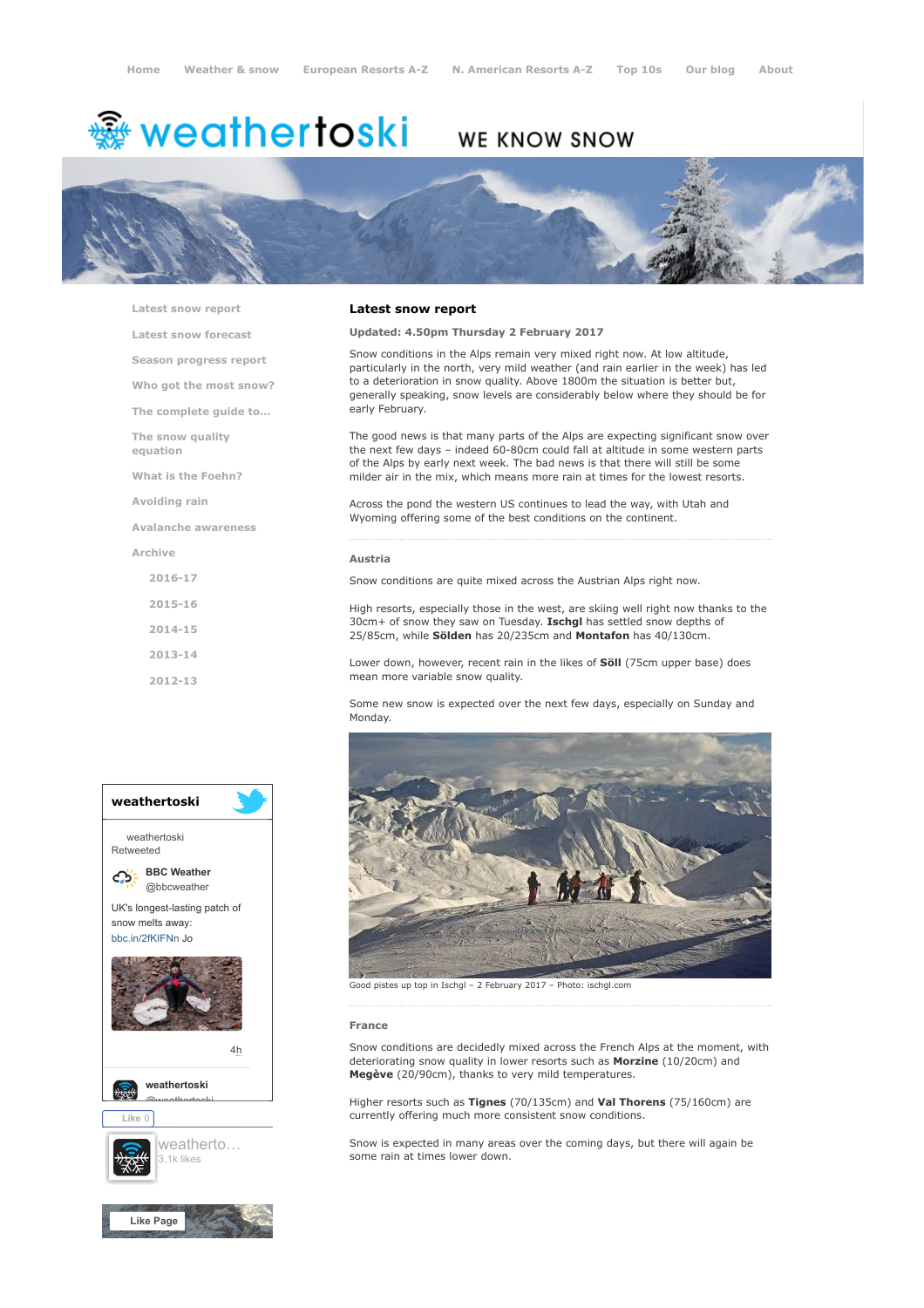# <del>鑾</del> weathertoski

# WE KNOW SNOW



[Latest snow report](https://www.weathertoski.co.uk/weather-snow/latest-snow-report/)

[Latest snow forecast](https://www.weathertoski.co.uk/weather-snow/latest-snow-forecast/) [Season progress report](https://www.weathertoski.co.uk/weather-snow/season-progress-report/) [Who got the most snow?](https://www.weathertoski.co.uk/weather-snow/who-got-the-most-snow/) [The complete guide to...](https://www.weathertoski.co.uk/weather-snow/the-complete-guide-to/) [The snow quality](https://www.weathertoski.co.uk/weather-snow/the-snow-quality-equation/) equation [What is the Foehn?](https://www.weathertoski.co.uk/weather-snow/what-is-the-foehn/) [Avoiding rain](https://www.weathertoski.co.uk/weather-snow/avoiding-rain/) [Avalanche awareness](https://www.weathertoski.co.uk/weather-snow/avalanche-awareness/)

[Archive](https://www.weathertoski.co.uk/weather-snow/archive/)

[2016-17](https://www.weathertoski.co.uk/weather-snow/archive/2016-17/) [2015-16](https://www.weathertoski.co.uk/weather-snow/archive/2015-16/) [2014-15](https://www.weathertoski.co.uk/weather-snow/archive/2014-15/)

[2013-14](https://www.weathertoski.co.uk/weather-snow/archive/2013-14/)

[2012-13](https://www.weathertoski.co.uk/weather-snow/archive/2012-13/)

### Latest snow report

Updated: 4.50pm Thursday 2 February 2017

Snow conditions in the Alps remain very mixed right now. At low altitude, particularly in the north, very mild weather (and rain earlier in the week) has led to a deterioration in snow quality. Above 1800m the situation is better but, generally speaking, snow levels are considerably below where they should be for early February.

The good news is that many parts of the Alps are expecting significant snow over the next few days – indeed 60-80cm could fall at altitude in some western parts of the Alps by early next week. The bad news is that there will still be some milder air in the mix, which means more rain at times for the lowest resorts.

Across the pond the western US continues to lead the way, with Utah and Wyoming offering some of the best conditions on the continent.

#### Austria

Snow conditions are quite mixed across the Austrian Alps right now.

High resorts, especially those in the west, are skiing well right now thanks to the 30cm+ of snow they saw on Tuesday. Ischgl has settled snow depths of 25/85cm, while Sölden has 20/235cm and Montafon has 40/130cm.

Lower down, however, recent rain in the likes of **Söll** (75cm upper base) does mean more variable snow quality.

Some new snow is expected over the next few days, especially on Sunday and Monday.





Good pistes up top in Ischgl – 2 February 2017 – Photo: ischgl.com

#### France

Snow conditions are decidedly mixed across the French Alps at the moment, with deteriorating snow quality in lower resorts such as Morzine (10/20cm) and Megève (20/90cm), thanks to very mild temperatures.

Higher resorts such as Tignes (70/135cm) and Val Thorens (75/160cm) are currently offering much more consistent snow conditions.

Snow is expected in many areas over the coming days, but there will again be some rain at times lower down.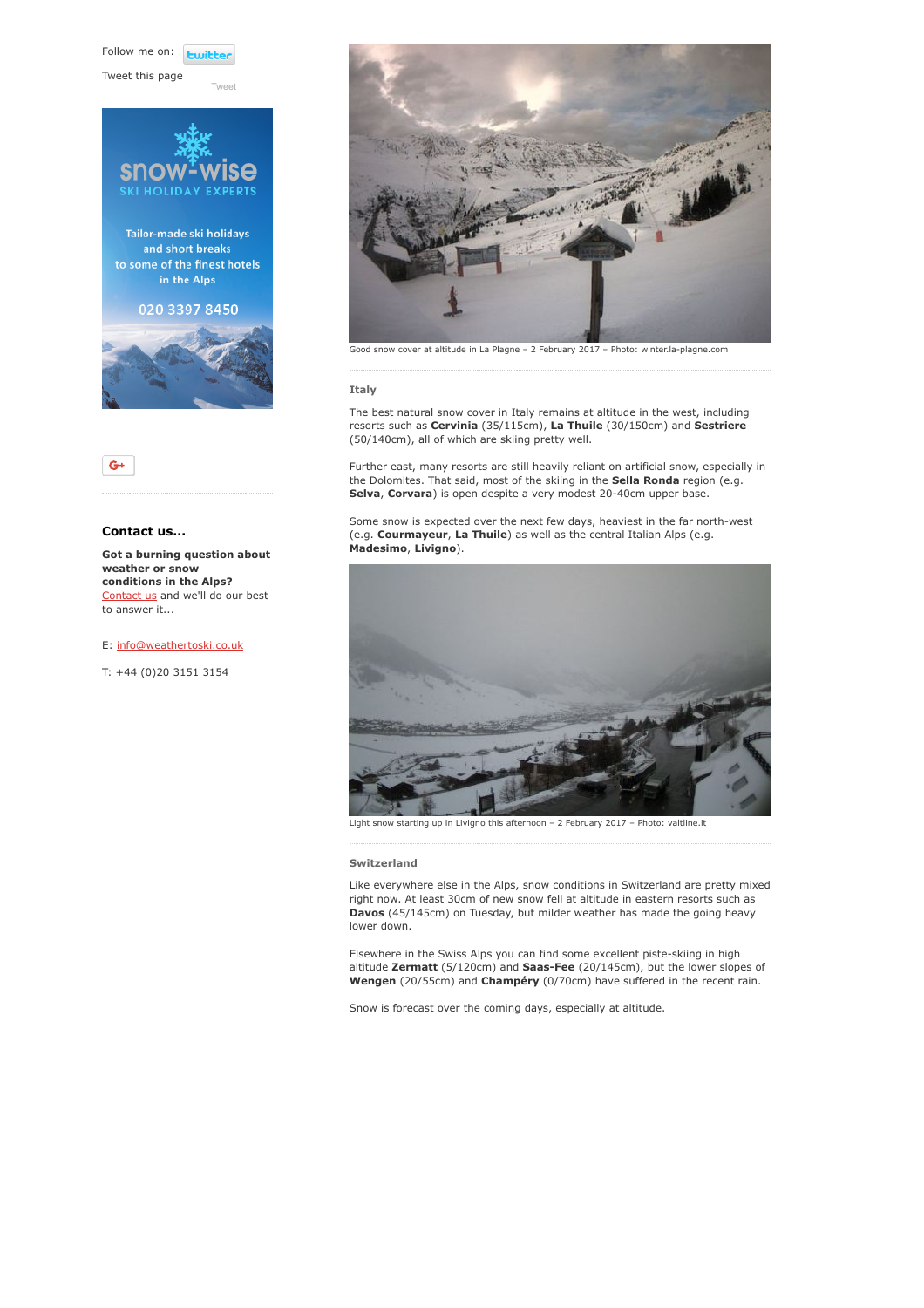Follow me on: **Ewith** 

[Tweet](https://twitter.com/intent/tweet?original_referer=https%3A%2F%2Fwww.weathertoski.co.uk%2Fweather-snow%2Farchive%2Fsnow-report-02-02-2017%2F&ref_src=twsrc%5Etfw&text=Weather%20to%20ski%20-%20Snow%20report%20-%202%20February%202017&tw_p=tweetbutton&url=https%3A%2F%2Fwww.weathertoski.co.uk%2Fweather-snow%2Farchive%2Fsnow-report-02-02-2017%2F)

Tweet this page





# Contact us...

Got a burning question about weather or snow conditions in the Alps? [Contact us](https://www.weathertoski.co.uk/about-1/contact-us/) and we'll do our best to answer it...

E: [info@weathertoski.co.uk](mailto:fraser@weathertoski.co.uk)

T: +44 (0)20 3151 3154



Good snow cover at altitude in La Plagne – 2 February 2017 – Photo: winter.la-plagne.com

#### Italy

The best natural snow cover in Italy remains at altitude in the west, including resorts such as Cervinia (35/115cm), La Thuile (30/150cm) and Sestriere (50/140cm), all of which are skiing pretty well.

Further east, many resorts are still heavily reliant on artificial snow, especially in the Dolomites. That said, most of the skiing in the **Sella Ronda** region (e.g. Selva, Corvara) is open despite a very modest 20-40cm upper base.

Some snow is expected over the next few days, heaviest in the far north-west (e.g. Courmayeur, La Thuile) as well as the central Italian Alps (e.g. Madesimo, Livigno).



Light snow starting up in Livigno this afternoon – 2 February 2017 – Photo: valtline.it

#### Switzerland

Like everywhere else in the Alps, snow conditions in Switzerland are pretty mixed right now. At least 30cm of new snow fell at altitude in eastern resorts such as Davos (45/145cm) on Tuesday, but milder weather has made the going heavy lower down.

Elsewhere in the Swiss Alps you can find some excellent piste-skiing in high altitude Zermatt (5/120cm) and Saas-Fee (20/145cm), but the lower slopes of Wengen (20/55cm) and Champéry (0/70cm) have suffered in the recent rain.

Snow is forecast over the coming days, especially at altitude.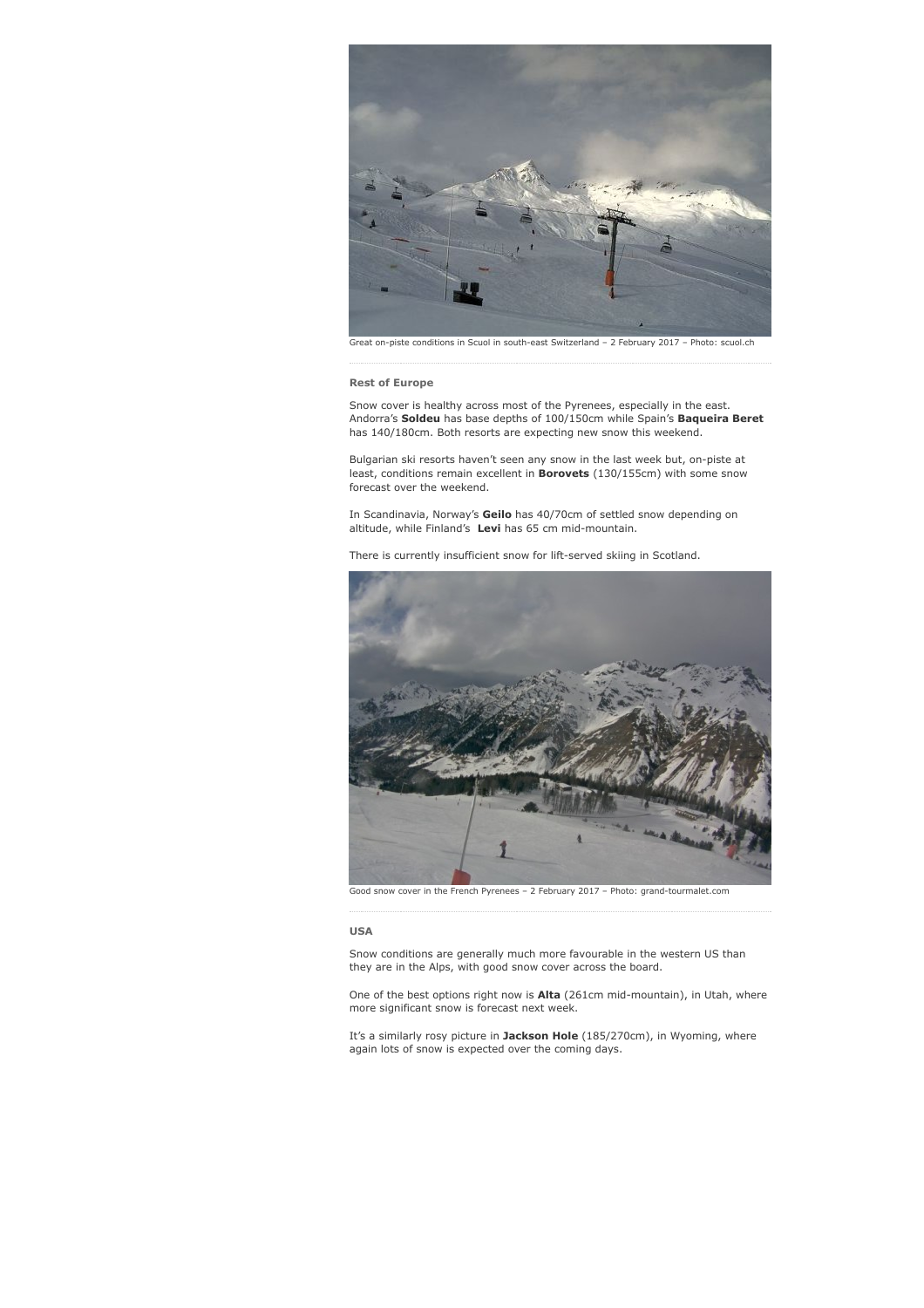

Great on-piste conditions in Scuol in south-east Switzerland – 2 February 2017 – Photo: scuol.ch

# Rest of Europe

Snow cover is healthy across most of the Pyrenees, especially in the east. Andorra's Soldeu has base depths of 100/150cm while Spain's Baqueira Beret has 140/180cm. Both resorts are expecting new snow this weekend.

Bulgarian ski resorts haven't seen any snow in the last week but, on-piste at least, conditions remain excellent in **Borovets** (130/155cm) with some snow forecast over the weekend.

In Scandinavia, Norway's Geilo has 40/70cm of settled snow depending on altitude, while Finland's Levi has 65 cm mid-mountain.

There is currently insufficient snow for lift-served skiing in Scotland.



Good snow cover in the French Pyrenees – 2 February 2017 – Photo: grand-tourmalet.com

#### USA

Snow conditions are generally much more favourable in the western US than they are in the Alps, with good snow cover across the board.

One of the best options right now is Alta (261cm mid-mountain), in Utah, where more significant snow is forecast next week.

It's a similarly rosy picture in Jackson Hole (185/270cm), in Wyoming, where again lots of snow is expected over the coming days.